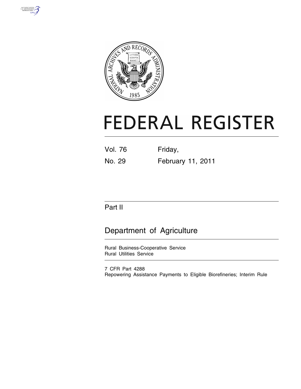



# **FEDERAL REGISTER**

| <b>Vol. 76</b> | Friday,           |
|----------------|-------------------|
| No. 29         | February 11, 2011 |

## Part II

## Department of Agriculture

Rural Business-Cooperative Service Rural Utilities Service

7 CFR Part 4288 Repowering Assistance Payments to Eligible Biorefineries; Interim Rule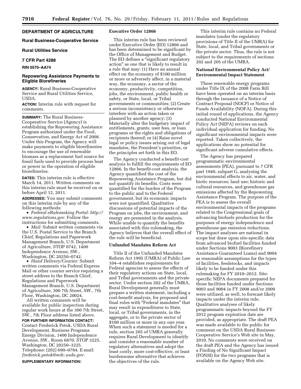#### **DEPARTMENT OF AGRICULTURE**

#### **Rural Business-Cooperative Service**

#### **Rural Utilities Service**

#### **7 CFR Part 4288**

#### **RIN 0570–AA74**

#### **Repowering Assistance Payments to Eligible Biorefineries**

**AGENCY:** Rural Business-Cooperative Service and Rural Utilities Service, USDA.

**ACTION:** Interim rule with request for comments.

**SUMMARY:** The Rural Business-Cooperative Service (Agency) is establishing the Repowering Assistance Program authorized under the Food, Conservation, and Energy Act of 2008. Under this Program, the Agency will make payments to eligible biorefineries to encourage the use of renewable biomass as a replacement fuel source for fossil fuels used to provide process heat or power in the operation of eligible biorefineries.

**DATES:** This interim rule is effective March 14, 2011. Written comments on this interim rule must be received on or before April 12, 2011.

**ADDRESSES:** You may submit comments on this interim rule by any of the following methods:

• *Federal eRulemaking Portal: [http://](http://www.regulations.gov)  [www.regulations.gov.](http://www.regulations.gov)* Follow the instructions for submitting comments.

• *Mail:* Submit written comments via the U.S. Postal Service to the Branch Chief, Regulations and Paperwork Management Branch, U.S. Department of Agriculture, STOP 0742, 1400 Independence Avenue, SW., Washington, DC 20250–0742.

• *Hand Delivery/Courier:* Submit written comments via Federal Express Mail or other courier service requiring a street address to the Branch Chief, Regulations and Paperwork Management Branch, U.S. Department of Agriculture, 300 7th Street, SW., 7th Floor, Washington, DC 20024.

All written comments will be available for public inspection during regular work hours at the 300 7th Street, SW., 7th Floor address listed above.

**FOR FURTHER INFORMATION CONTACT:**  Contact Frederick Petok, USDA Rural Development, Business Programs Energy Division, 1400 Independence Avenue, SW., Room 6870, STOP 3225, Washington, DC 20250–3225. Telephone: (202) 690–0784. E-mail: *[frederick.petok@wdc.usda.gov.](mailto:frederick.petok@wdc.usda.gov)* 

**SUPPLEMENTARY INFORMATION:** 

#### **Executive Order 12866**

This interim rule has been reviewed under Executive Order (EO) 12866 and has been determined to be significant by the Office of Management and Budget. The EO defines a "significant regulatory action'' as one that is likely to result in a rule that may: (1) Have an annual effect on the economy of \$100 million or more or adversely affect, in a material way, the economy, a sector of the economy, productivity, competition, jobs, the environment, public health or safety, or State, local, or Tribal governments or communities; (2) Create a serious inconsistency or otherwise interfere with an action taken or planned by another agency; (3) Materially alter the budgetary impact of entitlements, grants, user fees, or loan programs or the rights and obligations of recipients thereof; or (4) Raise novel legal or policy issues arising out of legal mandates, the President's priorities, or the principles set forth in this EO.

The Agency conducted a benefit-cost analysis to fulfill the requirements of EO 12866. In the benefit-cost analysis, the Agency quantified the cost of the Repowering Assistance Program, but did not quantify its benefits. Costs were quantified for the burden of the Program to the public and to the Federal government, but its economic impacts were not quantified. Qualitative discussions of potential impacts of the Program on jobs, the environment, and energy are presented in the analysis. While unable to quantify the benefits associated with this rulemaking, the Agency believes that the overall effect of the rule will be beneficial.

#### **Unfunded Mandates Reform Act**

Title II of the Unfunded Mandates Reform Act 1995 (UMRA) of Public Law 104–4 establishes requirements for Federal agencies to assess the effects of their regulatory actions on State, local, and Tribal governments and the private sector. Under section 202 of the UMRA, Rural Development generally must prepare a written statement, including a cost-benefit analysis, for proposed and final rules with ''Federal mandates'' that may result in expenditures to State, local, or Tribal governments, in the aggregate, or to the private sector of \$100 million or more in any one year. When such a statement is needed for a rule, section 205 of UMRA generally requires Rural Development to identify and consider a reasonable number of regulatory alternatives and adopt the least costly, more cost-effective, or least burdensome alternative that achieves the objectives of the rule.

This interim rule contains no Federal mandates (under the regulatory provisions of Title II of the UMRA) for State, local, and Tribal governments or the private sector. Thus, the rule is not subject to the requirements of sections 202 and 205 of the UMRA.

#### **National Environmental Policy Act/ Environmental Impact Statement**

These renewable energy programs under Title IX of the 2008 Farm Bill have been operated on an interim basis through the issuance of a Notice of Contract Proposal (NOCP) or Notice of Funds Availability (NOFA). During this initial round of applications, the Agency conducted National Environmental Policy Act (NEPA) reviews on each individual application for funding. No significant environmental impacts were reported. Taken collectively, the applications show no potential for significant adverse cumulative effects.

The Agency has prepared programmatic environmental assessments (PEA), pursuant to 7 CFR part 1940, subpart G, analyzing the environmental effects to air, water, and biotic resources; land use; historic and cultural resources, and greenhouse gas emissions affected by the Repowering Assistance Program. The purpose of the PEA is to assess the overall environmental impacts of the programs related to the Congressional goals of advancing biofuels production for the purposes of energy independence and greenhouse gas emission reductions. The impact analyses are national in scope but draw upon site-specific data from advanced biofuel facilities funded under Sections 9003 (Biorefinery Assistance Guaranteed Loans) and 9004 as reasonable assumptions for the types of facilities, feedstocks, and impacts likely to be funded under this rulemaking for FY 2010–2012. Sitespecific NEPA documents prepared for those facilities funded under Sections 9003 and 9004 in FY 2008 and/or 2009 were utilized, as well, to forecast likely impacts under the interim rule. Qualitative analyses of likely programmatic impacts beyond the FY 2012 program expiration date are provided, as appropriate. The draft PEA was made available to the public for comment on the USDA Rural Business-Cooperative Service's Web site in May, 2010. No comments were received on the draft PEA and the Agency has issued a Finding of No Significant Impact (FONSI) for the two programs that is available on the Agency Web site.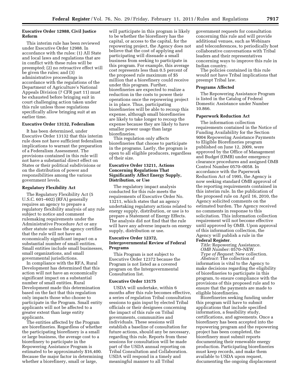#### **Executive Order 12988, Civil Justice Reform**

This interim rule has been reviewed under Executive Order 12988. In accordance with the rules: (1) All State and local laws and regulations that are in conflict with these rules will be preempted; (2) no retroactive effect will be given the rules; and (3) administrative proceedings in accordance with the regulations of the Department of Agriculture's National Appeals Division (7 CFR part 11) must be exhausted before bringing suit in court challenging action taken under this rule unless those regulations specifically allow bringing suit at an earlier time.

#### **Executive Order 13132, Federalism**

It has been determined, under Executive Order 13132 that this interim rule does not have sufficient federalism implications to warrant the preparation of a Federalism Assessment. The provisions contained in this rule will not have a substantial direct effect on States or their political subdivisions or on the distribution of power and responsibilities among the various government levels.

#### **Regulatory Flexibility Act**

The Regulatory Flexibility Act (5 U.S.C. 601–602) (RFA) generally requires an agency to prepare a regulatory flexibility analysis of any rule subject to notice and comment rulemaking requirements under the Administrative Procedure Act or any other statute unless the agency certifies that the rule will not have an economically significant impact on a substantial number of small entities. Small entities include small businesses, small organizations, and small governmental jurisdictions.

In compliance with the RFA, Rural Development has determined that this action will not have an economically significant impact on a substantial number of small entities. Rural Development made this determination based on the fact that this regulation only impacts those who choose to participate in the Program. Small entity applicants will not be affected to a greater extent than large entity applicants.

The entities affected by the Program are biorefineries. Regardless of whether the participating biorefinery is a small or large business, the average cost to a biorefinery to participate in the Repowering Assistance Program is estimated to be approximately \$16,400. Because the major factor in determining whether a biorefinery, small or large,

will participate in this program is likely to be whether the biorefinery has the capital, or access to the capital, for the repowering project, the Agency does not believe that the cost of applying and participating will dissuade a small business from seeking to participate in this program. For example, this average cost represents less than 0.5 percent of the proposed rule maximum of \$5 million that a biorefinery could receive under this program. Further, biorefineries are expected to realize a reduction in the costs to power their operations once the repowering project is in place. Thus, participating biorefineries will be able to recoup this expense, although small biorefineries are likely to take longer to recoup the expense because they are likely to have smaller power usage than large biorefineries.

This regulation only affects biorefineries that choose to participate in the programs. Lastly, the program is open to all eligible producers, regardless of their size.

#### **Executive Order 13211, Actions Concerning Regulations That Significantly Affect Energy Supply, Distribution, or Use**

The regulatory impact analysis conducted for this rule meets the requirements of Executive Order No. 13211, which states that an agency undertaking regulatory actions related to energy supply, distribution, or use is to prepare a Statement of Energy Effects. The analysis did not find that the rule will have any adverse impacts on energy supply, distribution or use.

#### **Executive Order 12372, Intergovernmental Review of Federal Programs**

This Program is not subject to Executive Order 12372 because the Program is not listed as a covered program on the Intergovernmental Consultation list.

#### **Executive Order 13175**

USDA will undertake, within 6 months after this rule becomes effective, a series of regulation Tribal consultation sessions to gain input by elected Tribal officials or their designees concerning the impact of this rule on Tribal governments, communities and individuals. These sessions will establish a baseline of consultation for future actions, should any be necessary, regarding this rule. Reports from these sessions for consultation will be made part of the USDA annual reporting on Tribal Consultation and Collaboration. USDA will respond in a timely and meaningful manner to all Tribal

government requests for consultation concerning this rule and will provide additional venues, such as Webinars and teleconferences, to periodically host collaborative conversations with Tribal leaders and their representatives concerning ways to improve this rule in Indian country.

The policies contained in this rule would not have Tribal implications that preempt Tribal law.

#### **Programs Affected**

The Repowering Assistance Program is listed in the Catalog of Federal Domestic Assistance under Number 10.866.

#### **Paperwork Reduction Act**

The information collection requirements contained in the Notice of Funding Availability for the Section 9004 Repowering Assistance Payments to Eligible Biorefineries program published on June 12, 2009, were approved by the Office of Management and Budget (OMB) under emergency clearance procedures and assigned OMB Control Number 0570–0058. In accordance with the Paperwork Reduction Act of 1995, the Agency is now seeking standard OMB approval of the reporting requirements contained in this interim rule. In the publication of the proposed rule on April 16, 2010, the Agency solicited comments on the estimated burden. The Agency received no comments in response to this solicitation. This information collection requirement will not become effective until approved by OMB. Upon approval of this information collection, the Agency will publish a rule in the

#### **Federal Register**.

*Title:* Repowering Assistance. *OMB Number:* 0570–NEW.

*Type of Request:* New collection. *Abstract:* The collection of

information is vital to the Agency to make decisions regarding the eligibility of biorefineries to participate in this program, to ensure compliance with the provisions of this proposed rule and to ensure that the payments are made to eligible biorefineries.

Biorefineries seeking funding under this program will have to submit applications that include specified information, a feasibility study, certifications, and agreements. Once a biorefinery has been accepted into the repowering program and the repowering project has been completed, the biorefinery must submit reports documenting their renewable energy production. Participating biorefineries must keep records, and make them available to USDA upon request, documenting the ongoing displacement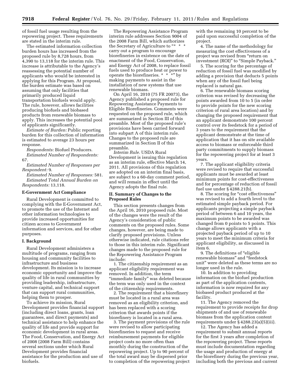of fossil fuel usage resulting from the repowering project. These requirements are stated in the interim rule.

The estimated information collection burden hours has increased from the proposed rule by 8,728 hours, from 4,390 to 13,118 for the interim rule. This increase is attributable to the Agency's reassessing the potential number of applicants who would be interested in applying for this Program. At proposal, the burden estimate was based on assuming that only facilities that primarily produced liquid transportation biofuels would apply. The rule, however, allows facilities producing biofuels and biobased products from renewable biomass to apply. This increases the potential pool of applicants significantly.

*Estimate of Burden:* Public reporting burden for this collection of information is estimated to average 23 hours per response.

*Respondents:* Biofuel Producers. *Estimated Number of Respondents:*  67.

*Estimated Number of Responses per Respondent:* 9.

*Estimated Number of Responses:* 581. *Estimated Total Annual Burden on Respondents:* 13,118.

#### **E-Government Act Compliance**

Rural Development is committed to complying with the E-Government Act, to promote the use of the Internet and other information technologies to provide increased opportunities for citizen access to Government information and services, and for other purposes.

#### **I. Background**

Rural Development administers a multitude of programs, ranging from housing and community facilities to infrastructure and business development. Its mission is to increase economic opportunity and improve the quality of life in rural communities by providing leadership, infrastructure, venture capital, and technical support that can support rural communities, helping them to prosper.

To achieve its mission, Rural Development provides financial support (including direct loans, grants, loan guarantees, and direct payments) and technical assistance to help enhance the quality of life and provide support for economic development in rural areas. The Food, Conservation, and Energy Act of 2008 (2008 Farm Bill) contains several sections under which Rural Development provides financial assistance for the production and use of biofuels.

The Repowering Assistance Program interim rule addresses Section 9004 of the 2008 Farm Bill, which authorizes the Secretary of Agriculture to "\* \* \* carry out a program to encourage biorefineries in existence on the date of enactment of the Food, Conservation, and Energy Act of 2008, to replace fossil fuels used to produce heat or power to operate the biorefineries. \* \* \*'' by making payments to assist in the installation of new systems that use renewable biomass.

On April 16, 2010 (75 FR 20073), the Agency published a proposed rule for Repowering Assistance Payments to Eligible Biorefineries. Comments were requested on the proposed rule, which are summarized in Section III of this preamble. Most of the proposed rule's provisions have been carried forward into subpart A of this interim rule. Changes to the proposed rule are summarized in Section II of this preamble.

*Interim Rule.* USDA Rural Development is issuing this regulation as an interim rule, effective March 14, 2011. All provisions of this regulation are adopted on an interim final basis, are subject to a 60-day comment period, and will remain in effect until the Agency adopts the final rule.

#### **II. Summary of Changes to the Proposed Rules**

This section presents changes from the April 16, 2010 proposed rule. Most of the changes were the result of the Agency's consideration of public comments on the proposed rules. Some changes, however, are being made to clarify proposed provisions. Unless otherwise indicated, rule citations refer to those in this interim rule. Significant changes made to the proposed rule for the Repowering Assistance Program include:

1. The citizenship requirement as an applicant eligibility requirement was removed. In addition, the term ''immediate family'' was deleted because the term was only used in the context of the citizenship requirements.

2. The requirement that a biorefinery must be located in a rural area was removed as an eligibility criterion, and has been replaced with a scoring criterion that awards points if the biorefinery is located in a rural area.

3. The payment provisions of the rule were revised to allow participating biorefineries to request and receive reimbursement payments for eligible project costs no more often than monthly during the construction of the repowering project. Up to 90 percent of the total award may be dispersed prior to completion of the repowering project with the remaining 10 percent to be paid upon successful completion of the project.

4. The name of the methodology for measuring the cost effectiveness of a project was revised from ''return on investment (ROI)" to "Simple Payback."

5. The scoring for the percentage of reduction of fossil fuel was modified by adding a provision that deducts 5 points when any of the fossil fuel being replaced is natural gas.

6. The renewable biomass scoring criterion was revised by decreasing the points awarded from 10 to 5 (in order to provide points for the new scoring criterion of rural area location) and by changing the proposed requirement that an applicant demonstrate 100 percent control over its feedstock for a period of 3 years to the requirement that the applicant demonstrate at the time of application that it has on site available access to biomass or enforceable third party commitments to supply biomass for the repowering project for at least 3 years.

7. The applicant eligibility criteria were revised to require that successful applicants must be awarded at least minimum points for cost-effectiveness and for percentage of reduction of fossil fuel use under § 4288.21(b).

8. The scoring for ''cost effectiveness'' was revised to add a fourth level to the estimated simple payback period. For applicants projecting a simple payback period of between 6 and 10 years, the maximum points to be awarded was changed from 0 points to 5 points. This change allows applicants with a projected payback period of up to 10 years to meet the minimum criteria for applicant eligibility, as discussed in item 6.

9. The definitions of ''eligible renewable biomass'' and ''feedstock unit'' were deleted as these terms are no longer used in the rule.

10. In addition to providing information on the biofuel production as part of the application contents, information is now required for any biobased product produced at the facility.

11. The Agency removed the requirement to provide receipts for drop shipments of and use of renewable biomass from the application content requirements under § 4288.23(a)(5)(iii).

12. The Agency has added a requirement to submit annual reports for the first 3 years after completion of the repowering project. These reports must include documentation regarding the usage and production of energy at the biorefinery during the previous year, including both the previous and current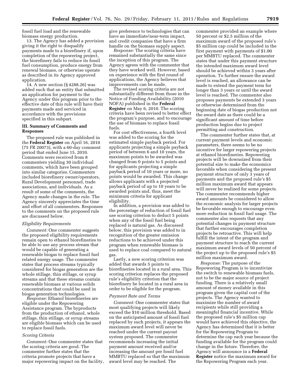fossil fuel load and the renewable biomass energy production.

13. The Agency has added a provision giving it the right to disqualify payments made to a biorefinery if, upon completion of the repowering project, the biorefinery fails to reduce its fossil fuel consumption, produce energy from renewal biomass, or otherwise operate as described in its Agency approved application.

14. A new section (§ 4288.26) was added such that an entity that submitted an application for payment to the Agency under this program prior to the effective date of this rule will have their payments made and serviced in accordance with the provisions specified in this subpart.

#### **III. Summary of Comments and Responses**

The proposed rule was published in the **Federal Register** on April 16, 2010 (75 FR 20073), with a 60-day comment period that ended June 15, 2010. Comments were received from 8 commenters yielding 30 individual comments, which have been grouped into similar categories. Commenters included biorefinery owner/operators, Rural Development personnel, trade associations, and individuals. As a result of some of the comments, the Agency made changes in the rule. The Agency sincerely appreciates the time and effort of all commenters. Responses to the comments on the proposed rule are discussed below.

#### *Eligibility Requirements*

*Comment:* One commenter suggests the proposed eligibility requirements remain open to ethanol biorefineries to be able to use any process stream that would be capable of generating a renewable biogas to replace fossil fuel related energy usage. The commenter states that process streams typically considered for biogas generation are the whole stillage, thin stillage, or syrup streams and that these streams contain renewable biomass at various solids concentrations that could be used in biogas generation technologies.

*Response:* Ethanol biorefineries are eligible under the Repowering Assistance program. The byproducts from the production of ethanol, whole stillage, thin stillage, or syrup streams are eligible biomass which can be used to replace fossil fuels.

#### *Scoring Criteria*

*Comment:* One commenter states that the scoring criteria are good. The commenter further states that the criteria promote projects that have a major repowering impact on the facility,

give preference to technologies that can have an immediate/near-term impact, and credit companies that have a firm handle on the biomass supply aspect.

*Response:* The scoring criteria have remained substantially the same since the inception of this program. The Agency agrees with the commenter that they have worked well. However, based on experience with the first round of applications, the Agency believes that improvements can be made.

The revised scoring criteria are not substantially different from those in the Notice of Funding Availability (2010 NOFA) published in the **Federal Register** on May 6, 2010. The scoring criteria have been revised to better effect the program's purpose, and to encourage the use of biomass to replace fossil fuels.

For cost effectiveness, a fourth level was added to the scoring for the estimated simple payback period. For applicants projecting a simple payback period of between 6 and 10 years, the maximum points to be awarded was changed from 0 points to 5 points and for applicants projecting a simple payback period of 10 years or more, no points would be awarded. This change allows applicants with a projected payback period of up to 10 years to be awarded points and, thus, meet the minimum criteria for applicant eligibility.

In addition, a provision was added to the percentage of reduction of fossil fuel use scoring criterion to deduct 5 points when any of the fossil fuel being replaced is natural gas. As discussed below, this provision was added to in recognition of the greater emission reductions to be achieved under this program when renewable biomass is used to replace coal compared to natural gas.

Lastly, a new scoring criterion was added that awards 5 points to biorefineries located in a rural area. This scoring criterion replaces the proposed rule's eligibility criterion that the biorefinery be located in a rural area in order to be eligible for the program.

#### *Payment Rate and Terms*

*Comment:* One commenter states that most qualifying projects will likely exceed the \$10 million threshold. Based on the anticipated amount of fossil fuel replaced by such projects, it appears the maximum award level will never be reached under the current payout system proposed. The commenter recommends increasing the initial payment amount received and/or increasing the amount per fossil fuel MMBTU replaced so that the maximum award level may be reached. The

commenter provided an example where 50 percent or \$2.5 million of the maximum award of the proposed rule's \$5 million cap could be included in the first payment with payments of \$1.00 per MMBTU replaced. The commenter states that under this payment structure the intended maximum award level should be achieved within 3 years after operation. To further ensure the award level is reached, an allowance can be made to extend the payment term for longer than 3 years or until the award level is reached. The commenter also proposes payments be extended 3 years or otherwise determined from the beginning date of biogas production not the award date as there could be a significant amount of time before production begins due to project permitting and construction.

The commenter further states that, at current payment levels and economic parameters, there seems to be no incentive for larger repowering projects at ethanol biorefineries. Repowering projects will be downsized from their potential size to make the economics favorable when considering the present payment structure of only 3 years of payments and the proposed rule's \$5 million maximum award that appears will never be realized for some projects. The commenter recommends higher award amounts be considered to allow the economic analysis for larger projects be favorable enough to encourage even more reduction in fossil fuel usage. The commenter also requests that any potential changes in payment structure that further encourages completion projects be retroactive. This will help fulfill the intent of the program and payment structure to reach the current maximum award levels of 50 percent of the project up to the proposed rule's \$5 million maximum award.

*Response:* The purpose of the Repowering Program is to incentivize the switch to renewable biomass fuels, not to be the major source of project funding. There is a relatively small amount of money available in this program given the capital cost of the projects. The Agency wanted to maximize the number of award recipients while still providing a meaningful financial incentive. While the proposed rule's \$5 million cap would have achieved this objective, the Agency has determined that it is better for the Repowering Program to determine the cap each year because the funding available for the program could change in the future. Therefore, the Agency will announce in a **Federal Register** notice the maximum award for the Repowering Program each year.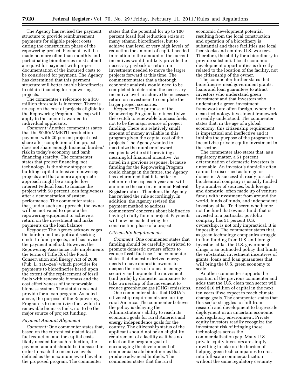The Agency has revised the payment structure to provide reimbursement payments for eligible project costs during the construction phase of the repowering project. Payments will be made no more often than monthly and participating biorefineries must submit a request for payment with proper documentation of the incurred costs to be considered for payment. The Agency has determined that this payment structure will better enable biorefineries to obtain financing for repowering projects.

The commenter's reference to a \$10 million threshold is incorrect. There is no cap on the cost of projects eligible for the Repowering Program. The cap will apply to the amount awarded to individual applicants.

*Comment:* Another commenter states that the \$0.50/MMBTU production payment with 20 percent project cost share after completion of the project does not share enough financial burden/ risk in today's economy and bank financing scarcity. The commenter states that project financing, not technology, is the show stopper on building capital intensive repowering projects and that a more appropriate approach might be a simple, low interest Federal loan to finance the project with 50 percent loan forgiveness after a demonstration of system performance. The commenter states that, under such an approach, the owner will be motivated to operate the repowering equipment to achieve a return on the investment and make payments on the loan balance.

*Response:* The Agency acknowledges the burden on the applicant seeking credit to fund projects, and has revised the payment method. However, the Repowering Assistance rule implements the terms of Title IX of the Food, Conservation and Energy Act of 2008 (Pub. L. 110–246) which provides for payments to biorefineries based upon the extent of the replacement of fossil fuels with renewable biomass and the cost effectiveness of the renewable biomass system. The statute does not provide for a loan program. As noted above, the purpose of the Repowering Program is to incentivize the switch to renewable biomass fuels, not to be the major source of project funding.

#### *Payment Amount Alignment*

*Comment:* One commenter states that, based on the current estimated fossil fuel reduction and the capital costs likely needed for such reduction, the payment amount should be increased in order to reach the incentive levels defined as the maximum award level in the proposed program. The commenter

states that the potential for up to 100 percent fossil fuel reduction exists at many ethanol biorefineries, but to achieve that level or very high levels of reduction the amount of capital needed in relation to the amount of the current incentives would unlikely provide the necessary payback or return on investment needed to move the larger projects forward at this time. The commenter states that a thorough economic analysis would need to be completed to determine the necessary incentive level to achieve the necessary return on investment to complete the larger project scenarios.

*Response:* The purpose of the Repowering Program is to incentivize the switch to renewable biomass fuels, not to be the major source of project funding. There is a relatively small amount of money available in this program given the capital cost of the projects. The Agency wanted to maximize the number of award recipients while still providing a meaningful financial incentive. As noted in a previous response, because funding for the Repowering Program could change in the future, the Agency has determined that it is better to determine the cap each year and will announce the cap in an annual **Federal Register** notice. Therefore, the Agency has revised the rule accordingly. In addition, the Agency revised the payment method to address commenters' concerns about biofineries having to fully fund a project. Payments will now be made during the construction phase of a project.

#### *Citizenship Requirements*

*Comment:* One commenter states that funding should be carefully restricted to promote domestic owners efforts to reduce fossil fuel use. The commenter states that domestic derived energy needs to have domestic owners to deepen the roots of domestic energy security and promote the movement (and pride) by domestic companies to take ownership of the movement to reduce greenhouse gas (GHG) emissions.

One commenter states that USDA's citizenship requirements are hurting rural America. The commenter believes the policy is delaying the Administration's ability to reach its economic goals for rural America and energy independence goals for the country. The citizenship status of the applicant should not be an eligibility requirement of a facility as it has no effect on the program goal of encouraging the development of commercial scale biorefineries that produce advanced biofuels. The commenter states that the rural

economic development potential resulting from the local construction and operation of a biorefinery is substantial and these facilities use local feedstocks and employ U.S. workers. Therefore, the ability for a biorefinery to provide substantial local economic development opportunities is directly related to the location of the facility, not the citizenship of the owner.

The commenter further states that biorefineries need government grants, loans and loan guarantees to attract investors who understand green investment and that investors who understand a green investment framework are often foreign, where the clean technology investment framework is readily understood. The commenter states that, in the age of a global economy, this citizenship requirement is impractical and ineffective and it inhibits the purpose of the program to incentivize private equity investment in the sector.

The commenter also states that, as a regulatory matter, a 51 percent determination of domestic investors is untenable. An investor's domicile often cannot be discerned as foreign or domestic. A successful, ready to scale biochemical company is usually funded by a number of sources, both foreign and domestic, often made up of venture funds with investment from around the world, funds of funds, and independent investors alike. To discern whether or not the fund that owns a fund, that is invested in a particular portfolio company has 51 percent U.S. ownership, is not only impractical, it is impossible. The commenter states that, as green technology companies struggle to find funding from U.S. and foreign investors alike, the U.S. government clings to an outmoded policy that limits the substantial investment incentives of grants, loans and loan guarantees that will bring the U.S. green economy to scale.

Another commenter supports the position of the previous commenter and adds that the U.S. clean tech sector will need \$10 trillion of capital in the next ten years if we expect to reach climate change goals. The commenter states that this sector struggles to shift from research and development to large-scale deployment in an uncertain economic and regulatory environment. Private equity investors readily recognize the investment risk of bringing these technologies across the commercialization gap. Many U.S. private equity investors are simply unwilling to take on the burden of helping green tech companies to cross into full-scale commercialization without the same regulatory certainty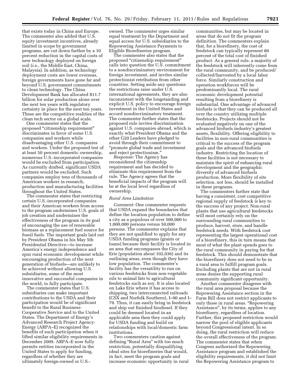that exists today in China and Europe. The commenter also added that U.S. equity investment incentives, already limited in scope by government programs, are cut down further by a 10 percent reduction in the capital costs of new technology deployed on foreign soil (*i.e.,* the Middle East, China, Malaysia). In addition, as technology deployment costs are lower overseas, foreign governments have gone far and beyond U.S. government commitments to clean technology. The China Development Bank has allocated \$11.7 billion for solar production alone over the next ten years with regulatory certainty in place for the next ten years. These are the competitive realities of the clean tech sector on a global scale.

One commenter states that the proposed ''citizenship requirement'' discriminates in favor of some U.S. companies and workers while disadvantaging other U.S. companies and workers. Under the proposed test of at least 50 percent domestic ownership, numerous U.S.-incorporated companies would be excluded from participation. As currently drafted, significant USDA partners would be excluded. Such companies employ tens of thousands of American workers in research, production and manufacturing facilities throughout the United States.

The commenter states that restricting certain U.S.-incorporated companies and their American workers from access to the program undermines U.S. goals of job creation and undermines the effectiveness of the program in its goal of encouraging the use of renewable biomass as a replacement fuel source for fossil fuels. The important goals laid out by President Obama in his May 5th Presidential Directive—to increase America's energy independence and spur rural economic development while encouraging production of the next generation of biofuels—are unlikely to be achieved without allowing U.S. subsidiaries, some of the most innovative and successful companies in the world, to fully participate.

The commenter states that U.S. subsidiaries can make important contributions to the USDA and their participation would be of significant benefit to the Rural Business-Cooperative Service and to the United States. The Department of Energy's Advanced Research Project Agency-Energy (ARPA–E) recognized the benefits of such participation when it lifted similar eligibility requirements in December 2009. ARPA–E now fully permits entities incorporated in the United States to apply for funding, regardless of whether they are ultimately foreign-owned or U.S.-

owned. The commenter urges similar equal treatment by the Department and equal access for U.S. subsidiaries to the Repowering Assistance Payments to Eligible Biorefineries program.

The commenter also states that the proposed ''citizenship requirement'' calls into question the U.S. commitment to a nondiscriminatory environment for foreign investment, and invites similar protectionist retribution from other countries. Setting aside any questions the restrictions raise under U.S. international agreements, they are also inconsistent with the longstanding and explicit U.S. policy to encourage foreign investment in the United States and accord nondiscriminatory treatment. The commenter further states that the proposed rule invites discrimination against U.S. companies abroad, which is exactly what President Obama and the other G20 Leaders have pledged to avoid through their commitment to ''promote global trade and investment and reject protectionism.''

*Response:* The Agency has reconsidered the citizenship requirement and has decided to eliminate this requirement from the rule. The Agency agrees that the beneficial impacts of the program will be at the local level regardless of ownership.

#### *Rural Area Limitation*

*Comment:* One commenter requests that USDA expand the boundaries that define the location population to define a city as a populous of over 500,000 to 1,000,000 persons versus 50,000 persons. The commenter explains that they are not qualified to apply for any USDA funding programs (grants or loans) because their facility is located in an area that encompasses the City of Erie (population about 102,036) and its outlining areas, even though they have low population. The commenter's facility has the versatility to run on various feedstocks from non-vegetable oils to animal fats to agricultural feedstocks such as soy. It is also located on Lake Erie where it has access to shipping, two interconnected railroads (CSX and Norfolk Southern), I–90 and I– 79. Thus, it can easily bring in feedstock and ship out finished biodiesel. If they could be deemed located in an applicable area then they could apply for USDA funding and build on relationships with local/domestic farm institutions.

Two commenters caution against defining ''Rural Area'' with too much restriction, potentially disqualifying ideal sites for biorefineries that would, in fact, meet the program goals and increase economic opportunity in rural

communities, but may be located in areas that do not fit the program definition. The commenters explain that, for a biorefinery, the cost of feedstock can typically represent 80 percent of the total cost of finished product. As a general rule, a majority of the feedstock will inherently come from the rural community, and be produced/ collected/harvested by a local labor force. Similarly construction and operation workforces will be predominantly local. The rural economic development potential resulting from a biorefinery is substantial. One advantage of advanced biofuels is that they can be produced all over the country utilizing multiple feedstocks. Projects should not be evaluated negatively on one of the advanced biofuels industry's greatest assets, flexibility. Offering eligibility to facilities in non-rural communities is critical to the success of the program goals and the advanced biofuels industry. Restricting the location of these facilities is not necessary to maintain the spirit of enhancing rural development and the geographic diversity of advanced biofuels production. More flexibility of site selection, not less, should be installed in these programs.

The commenters further state that having a consistent, cost competitive regional supply of feedstock is key to the success of any project. Non-rural plants that use agricultural feedstocks will most certainly rely on the surrounding rural communities to produce, harvest, store, and handle feedstock needs. With feedstock cost representing the largest operational cost of a biorefinery, this in turn means that most of what the plant spends goes to the rural community in paying for that feedstock. This should demonstrate that the biorefinery does not need to be in a rural area to fulfill program goals. Excluding plants that are not in rural areas denies the supporting rural community significant opportunity.

Another commenter disagrees with the rural area proposal because the Repowering Assistance section in the Farm Bill does not restrict applicants to only those in rural areas. ''Repowering Assistance'', by its terms, applies to any biorefinery, regardless of location. Further, this proposed restriction would narrow the pool of eligible applicants beyond Congressional intent. In so doing, the rural restriction will reduce the overall effectiveness of the program. The commenter states that when Congress authorized the Repowering Assistance program and established the eligibility requirements, it did not limit the Repowering Assistance program to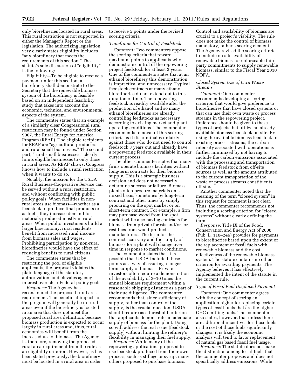only biorefineries located in rural areas. This rural restriction is not supported in either the Manager's Report or the legislation. The authorizing legislation very clearly states eligibility includes "any biorefinery that meets the requirements of this section.'' The statute's sole discussion of "eligibility" is the following:

Eligibility—To be eligible to receive a payment under this section, a biorefinery shall demonstrate to the Secretary that the renewable biomass system of the biorefinery is feasible based on an independent feasibility study that takes into account the economic, technical and environmental aspects of the system.

The commenter states that an example of a similarly clear Congressional rural restriction may be found under Section 9007, the Rural Energy for America Program (REAP). The eligible recipients for REAP are "agricultural producers and rural small businesses.'' The second part, "rural small businesses," clearly limits eligible businesses to only those in rural areas. As REAP shows, Congress knows how to include a rural restriction when it wants to do so.

Notably, the mission for the USDA Rural Business-Cooperative Service can be served without a rural restriction, and without conflicting with public policy goals. When facilities in nonrural areas use biomass—whether as a feedstock to produce final products or as fuel—they increase demand for materials produced mostly in rural areas. When public investments build a larger bioeconomy, rural residents benefit from increased rural income from biomass sales and wages. Prohibiting participation by non-rural biorefineries would have the effect of reducing benefits to rural citizens.

The commenter states that by restricting the pool of eligible applicants, the proposal violates the plain language of the statutory authorization, and elevates agency interest over clear Federal policy goals.

*Response:* The Agency has reconsidered the proposed rural area requirement. The beneficial impacts of the program will generally be in rural areas even if the biorefinery is located in an area that does not meet the proposed rural area definition, because biomass production is expected to occur largely in rural areas and, thus, rural economies will benefit from the increased use of biomass. The Agency is, therefore, removing the proposed rural area requirement from the rule as an eligibility criterion. However, as has been stated previously, the biorefinery must be located in a rural area in order

to receive 5 points under the revised scoring criteria.

### *Timeframe for Control of Feedstock*

*Comment:* Two commenters oppose the scoring criteria that reward maximum points to applicants who demonstrate control of the repowering project feedstock for at least 3 years. One of the commenters states that at an ethanol biorefinery this demonstration is impractical and unnecessary. Typical feedstock contracts at many ethanol biorefineries do not extend out to this duration of time. The repowering feedstock is readily available after the production of ethanol and so many ethanol biorefineries are already controlling feedstocks as necessary according to existing market and plant operating conditions. The commenter recommends removal of this scoring criteria as it discriminates unfairly against those who do not need to control feedstock 3 years out and already have a repowering feedstock available in their current process.

The other commenter states that many firms operate biomass facilities without long-term contracts for their biomass supply. This is a strategic business decision and does not necessarily determine success or failure. Biomass plants often procure materials on a mixed basis, sometimes by long-term contract and other times by simply procuring on the spot market or on short-term contract. For example, a firm may purchase wood from the spot market while also having contracts for biomass from private forests and/or for residues from wood products manufacturers. The term for the contracts can vary and the supply of biomass for a plant will change over time in response to market conditions.

The commenter states that it is possible that USDA included these points as a way of assuring a longerterm supply of biomass. Private investors often require a demonstration of the availability of 3–10 times the annual biomass requirement within a reasonable shipping distance as a part of their due diligence. The commenter recommends that, since sufficiency of supply, rather than control of the supply, is the crucial question, USDA should require as a threshold criterion that applicants demonstrate an adequate supply of biomass for the plant. Doing so will address the real issue (feedstock supply) without limiting the refinery's flexibility in managing their fuel supply.

*Response:* While many of the repowering applications proposed to use feedstock produced from their own process, such as stillage or syrup, many others proposed to purchase biomass.

Control and availability of biomass are crucial to a project's viability. The rule does not make the control of biomass mandatory, rather a scoring element. The Agency revised the scoring criteria to include on site availability of renewable biomass or enforceable third party commitments to supply renewable biomass, similar to the Fiscal Year 2010 NOFA.

#### *Closed System Use of Own Waste Streams*

*Comment:* One commenter recommends developing a scoring criterion that would give preference to biorefineries that have closed systems or that can use their own waste or process streams in the repowering project. Preference should be given to these types of projects that utilize an already available biomass feedstock on-site. By using the available biomass feedstock in existing process streams, the carbon intensity associated with operations is further minimized by not having to include the carbon emissions associated with the processing and transportation of biomass feedstock from off-site sources as well as the amount attributed to the current transportation of the waste or process streams constituents off-site.

Another commenter noted that the meaning of the term "closed system" in this request for comment is not clear. Thus, the commenter recommends not including a scoring criterion for "closed" systems'' without clearly defining the term.

*Response:* Title IX of the Food, Conservation and Energy Act of 2008 (Pub. L. 110–246) provides for payments to biorefineries based upon the extent of the replacement of fossil fuels with renewable biomass and the cost effectiveness of the renewable biomass system. The statute contains no other criterion for awarding payments. The Agency believes it has effectively implemented the intent of the statute in the current rule.

#### *Type of Fossil Fuel Displaced Payment*

*Comment:* One commenter agrees with the concept of scoring an application higher for replacing certain types of fossil fuels that are the higher GHG emitting fuels. The commenter also states, however, that unless there are additional incentives for those fuels or the cost of those fuels significantly changes, it is likely the economic analysis will tend to favor replacement of natural gas based fossil fuel usage.

*Response:* The statute does not make the distinction among fossil fuels that the commenter proposes and does not specifically address emissions. While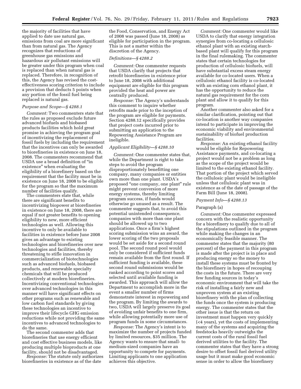the majority of facilities that have applied to date use natural gas, emissions from coal are more significant than from natural gas. The Agency recognizes that reductions of greenhouse gas emissions and hazardous air pollutant emissions will be greater under this program when coal is replaced than when natural gas is replaced. Therefore, in recognition of this, the Agency has revised the costeffectiveness scoring criterion to include a provision that deducts 5 points when any portion of the fossil fuel being replaced is natural gas.

#### *Purpose and Scope—§ 4288.1*

*Comment:* Two commenters state that the rules as proposed exclude future advanced biofuels and biobased products facilities which hold great promise in achieving the program goal of incentivizing the replacement of fossil fuels by including the requirement that the incentives can only be awarded to biorefineries in existence on June 18, 2008. The commenters recommend that USDA use a broad definition of ''in existence'' when evaluating the eligibility of a biorefinery based on the requirement that the facility must be in existence on June 18, 2008 to be eligible for the program so that the maximum number of facilities qualify.

The commenters state that, while there are significant benefits to incentivizing biopower at biorefineries in existence on June 18, 2008, there are equal if not greater benefits to opening eligibility to new, more efficient technologies as well. Allowing this incentive to only be available to facilities in existence before June 2008 gives an advantage to existing technologies and biorefineries over new technologies and facilities, thereby threatening to stifle innovation in commercialization of biotechnologies such as advanced biofuels, biobased products, and renewable specialty chemicals that will be produced collectively at modern biorefineries. Incentivizing conventional technologies over advanced technologies in this manner will have significant effects on other programs such as renewable and low carbon fuel standards by giving these technologies an incentive to improve their lifecycle GHG emission reductions while not providing the same incentives to advanced technologies to do the same.

The second commenter adds that biorefineries that use energy efficient and cost effective business models, like producing multiple bioproducts at one facility, should not be disadvantaged.

*Response:* The statute only authorizes biorefineries in existence as of the date

the Food, Conservation, and Energy Act of 2008 was passed (June 18, 2008) as eligible for participation in the program. This is not a matter within the discretion of the Agency.

#### *Definitions—§ 4288.2*

*Comment:* One commenter requests that USDA clarify that projects that retrofit biorefineries in existence prior to June 18, 2008 with additional equipment are eligible for this program provided the heat and power are centrally produced.

*Response:* The Agency's understands this comment to inquire whether retrofits made prior to the inception of the program are eligible for payments. Section 4288.12 specifically provides that project costs incurred prior to submitting an application to the Repowering Assistance Program are ineligible.

#### *Applicant Eligibility—§ 4288.10*

*Comment:* One commenter states that, while the Department is right to take steps to avoid the program disproportionately benefitting one company, many companies or entities own more than one plant. USDA's proposed ''one company, one plant'' rule might prevent conversion of more energy systems, thereby limiting program success, if funds would otherwise go unused as a result. The commenter suggests that, to avoid this potential unintended consequence, companies with more than one plant should be allowed up to two applications. Once a firm's highest scoring submission wins an award, the lower scoring of the two proposals would be set aside for a second round pool. The second round pool would only be considered if sufficient funds remain available from the first round. If sufficient funding is available, these second round submissions would be ranked according to point scores and selected until available funding is awarded. This approach will allow the Department to accomplish more in the event a smaller number of firms demonstrate interest in repowering and the program. By limiting the awards to two, USDA will largely preserve its goal of avoiding unfair benefits to one firm, while allowing potentially more use of program funds in some circumstances.

*Response:* The Agency's intent is to maximize the number of projects funded by limited resources, \$35 million. The Agency wants to ensure that small- to medium-sized companies have an opportunity to compete for payments. Limiting applicants to one application achieves this objective.

*Comment:* One commenter would like USDA to clarify that energy integration synergies from co-locating a cellulosic ethanol plant with an existing starchbased plant will qualify for this program in the final rulemaking. The commenter states that certain technologies for production of cellulosic biofuels, will have substantial excess steam energy available for co-located users. When a cellulosic ethanol facility is co-located with an existing corn ethanol plant, it has the opportunity to reduce the natural gas requirement for the corn plant and allow it to qualify for this program.

Another commenter also asked for a similar clarification, pointing out that co-location is another way companies intend to participate in improving the economic viability and environmental sustainability of biofuel production facilities.

*Response:* An existing ethanol facility would be eligible for Repowering Assistance payments, and co-locating a project would not be a problem as long as the scope of the project would be limited to the existing ethanol facility. That portion of the project which served the cellulosic plant would be ineligible unless that cellulosic plant was in existence as of the date of passage of the Farm Bill (June 18, 2008).

#### *Payment Info—§ 4288.13*

#### Paragraph (a)

*Comment:* One commenter expressed concern with the realistic opportunity for a biorefinery to qualify due to all of the stipulations outlined in the program while making the changes in an economically feasible manner. The commenter states that the majority (80 percent) of the payment in this program is made after the project is in place and producing energy so the money to install these systems must be fronted by the biorefinery in hopes of recouping the costs in the future. There are very few funding sources in today's economic environment that will take the risk of installing a fairly new and unproven system at an existing biorefinery with the plan of collecting the funds once the system is producing energy. The commenter states that the other issue is that the return on investment must happen very quickly (<4 years), yet the costs of implementing many of the systems and acquiring the feedstocks heavily outweighs the current costs of the rural fossil fuel derived utilities to the facility. The commenter states that they have a strong desire to offset fossil fuel derived utility usage but it must make good economic sense in order to allow the biorefinery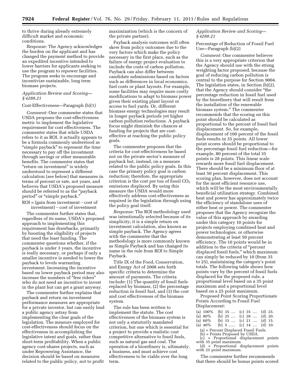to thrive during already extremely difficult market and economic conditions.

*Response:* The Agency acknowledges the burden on the applicant and has changed the payment method to provide an expedited incentive intended to lower barriers for applicants seeking to use the program to repower facilities. The program seeks to encourage and incentivize sustainable, long term biomass projects.

#### *Application Review and Scoring— § 4288.21*

#### Cost-Effectiveness—Paragraph (b)(1)

*Comment:* One commenter states that USDA proposes the cost-effectiveness metric to implement the legislative requirement for cost effectiveness. The commenter states that while USDA refers to it as ROI, it actually appears to be a formula commonly understood as "simple payback" to represent the time necessary to pay off the investment through savings or other measurable benefits. The commenter states that ''return on investment'' is widely understood to represent a different calculation (*see* below) that measures in terms of percent or rate, not years, and believes that USDA's proposed measure should be referred to as the "payback period" or "simple payback."

 $ROI = (gain from investment - cost of$  $investment)$  – cost of investment

The commenter further states that, regardless of its name, USDA's proposed approach to implementing this requirement has drawbacks, primarily by boosting the eligibility of projects that need the least funding. The commenter questions whether, if the payback is under 3 years, the incentive is really necessary, or perhaps if only a smaller incentive is needed to lower the payback to levels warranting investment. Increasing the incentive based on lower payback period may also increase the numbers of ''free riders'' who do not need an incentive to invest in the plant but can get a grant anyway.

The commenter further explains that payback and return on investment performance measures are appropriate for a private investor, but can easily lead a public agency astray from implementing the clear goals of the legislation. The measure employed for cost-effectiveness should focus on the effectiveness in accomplishing the legislative intent and goals, rather than short-term profitability. When a public agency cost-shares projects, such as under Repowering Assistance, the decision should be based on measures related to the public policy, not to profit

maximization (which is the concern of the private partner).

Payback analysis outcomes will often skew from policy outcomes due to the very factors which make the policy necessary in the first place, such as the failure of energy project evaluation to include the costs of carbon pollution. Payback can also differ between candidate submissions based on factors such as differences in local economics, fuel costs or plant layouts. For example, some facilities may require more costly modifications to adapt to biomass power given their existing plant layout or access to fuel yards. Or, different biomass energy technologies may result in longer payback periods yet higher carbon pollution reductions. A payback focus might diminish the chances at funding for projects that are costeffective at reaching the public policy goals.

The commenter proposes that the criteria for cost-effectiveness be based not on the private sector's measure of payback but, instead, on a measure related to the public policy goals. In this case the primary policy goal is carbon reduction; therefore, the appropriate criterion is the cost per ton of fossil  $CO<sub>2</sub>$ emissions displaced. By using this measure the USDA would more effectively address cost-effectiveness as required in the legislation through using the policy goal itself.

*Response:* The ROI methodology used was intentionally selected because of its simplicity; it is a simple return on investment calculation, also known as simple payback. The Agency agrees with the commenter that the methodology is more commonly known as Simple Payback and has changed its name in the rule from ROI to Simple Payback.

Title IX of the Food, Conservation, and Energy Act of 2008 sets forth specific criteria to determine the amount of payments. The criteria include: (1) The quantity of fossil fuels replaced by biomass, (2) the percentage reduction in fossil fuel, and (3) the cost and cost effectiveness of the biomass system.

The rule has been written to implement the statute. The cost effectiveness of the biomass system is not only a statutorily mandated criterion, but one which is essential for a project to provide a realistic cost competitive alternative to fossil fuels, such as natural gas and coal. The operation of a biorefinery is, ultimately, a business, and must achieve cost effectiveness to be viable over the long term.

#### *Application Review and Scoring— § 4288.21*

Percentage of Reduction of Fossil Fuel Use—Paragraph (b)(2)

*Comment:* One commenter believes this is a very appropriate criterion that the Agency should use with the strong weighting factor proposed, because the goal of reducing carbon pollution is central to the purpose for Section 9004. The legislation states, in Section (b)(2), that the Agency should consider ''the percentage reduction in fossil fuel used by the biorefinery that will result from the installation of the renewable biomass system.'' The commenter recommends that the scoring on this point should be calculated as proportional to the percent of fossil fuel displacement. So, for example, displacement of 100 percent of the fossil fuels results in 35 points. All lower point scores should be proportional to the percentage fossil fuel reduction—for example, 80 percent of the total 35 points is 28 points. This linear scale rewards more fossil fuel displacement. There should be a minimum floor of at least 50 percent displacement. This scoring plan, however, does not account for the most efficient resource use, which will be the most environmentally beneficial utilization strategy. Combined heat and power has approximately twice the efficiency of standalone uses of either heat or power. The commenter proposes that the Agency recognize the value of this approach by awarding under this category 10 points for projects employing combined heat and power technologies, or otherwise demonstrating at least 50 percent efficiency. The 10 points would be in addition to the criteria of ''percent displaced fossil fuels,'' which maximum can simply be reduced by 10 (from 35 to 25), maintaining the category's point totals. The following table shows how points vary by the percent of fossil fuels displaced for the proposed rule, a proportional level based on a 35 point maximum and a proportional level based on a 25 point maximum.

Proposed Point Scoring Proportionate Points According to Fossil Fuel Displacement:

| (a) $100\%$ (b) $35$ (c) $35$ (d) $25$ . |  |  |                              |  |
|------------------------------------------|--|--|------------------------------|--|
| (a) 80%                                  |  |  | (b) $25$ (c) $28$ (d) $20$ . |  |
| (a) $60\%$                               |  |  | (b) $15$ (c) $21$ (d) $15$ . |  |

- (a) 40% (b) 5 ...... (c) 14 .... (d) 10.
	- (a) = Percent Displaced Fossil Fuels.
	- (b) = Points Proposed by USDA.
- (c) = Proportional displacement points with 35 point maximum.
- (d) = Proportional displacement points with 25 point maximum.

The commenter further recommends that there should be bonus points scored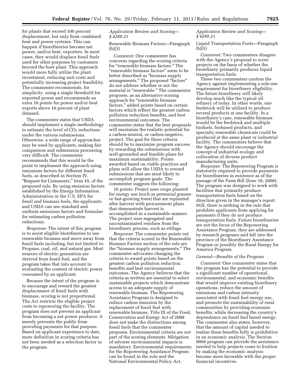for plants that exceed 100 percent displacement, but only from combined heat and power systems. This can happen if biorefineries become net power, and/or heat, exporters. In most cases, they would displace fossil fuels used for other purposes by customers beyond the host plant. This approach would more fully utilize the plant investment, reducing unit costs and potentially increasing project feasibility. The commenter recommends, for simplicity, using a single threshold for exported power and recommends an extra 10 points for power and/or heat exports above 10 percent of plant demand.

The commenter states that USDA should implement a single methodology to estimate the level of  $CO<sub>2</sub>$  reductions under the various submissions. Otherwise, a wide range of approaches may be used by applicants, making fair comparison and submission processing very difficult. The commenter recommends that this would be the point to implement the approach using emissions factors for different fossil fuels, as described in Section IV, ''Request for Comments,'' item 10, of the proposed rule. By using emission factors established by the Energy Information Administration or the U.S. EPA for fossil and biomass fuels, the applicants and USDA can use standard and uniform emissions factors and formulae for estimating carbon pollution reductions.

*Response:* The intent of this program is to assist eligible biorefineries to use renewable biomass and move away from fossil fuels including, but not limited to: Propane, coal, oil, and natural gas. Most sources of electric generation are derived from fossil fuel, and the program takes that into account in evaluating the content of electric power consumed by an applicant.

Because the intent of the program is to encourage and reward the greatest displacement of fossil fuels with biomass, scoring is not proportional. The Act restricts the eligible project costs to repowering the facility. The program does not prevent an applicant from becoming a net power producer, it merely prevents the public from providing payments for that purpose. Based on applicant experience to date, more definition in scoring criteria has not been needed as a selection factor in the program.

#### *Application Review and Scoring— § 4288.21*

Renewable Biomass Factors—Paragraph (b)(3)

*Comment:* One commenter has concerns regarding the scoring criteria for ''renewable biomass factors.'' The ''renewable biomass factors'' seem to be better described as ''biomass supply arrangements.'' The proposed ''factors'' do not address whether or not the material is "renewable." The commenter proposes, as an alternative scoring approach for ''renewable biomass factors,'' added points based on certain factors which reflect the greatest carbon pollution reduction benefits, and best environmental outcomes. The commenter states that the best proposals will maximize the realistic potential for a carbon-neutral, or carbon-negative, project. The goal for these criteria should be to maximize program success by rewarding the submissions with well-grounded and feasible plans for maximum sustainability. Points awarded based on viable practices and plans will allow the USDA to reward submissions that are most likely to accomplish program goals. The commenter suggests the following:

10 points: Project uses crops planted for energy use (such as perennial grasses or fast-growing trees) that are replanted after harvest with procurement plans that demonstrate harvest is accomplished in a sustainable manner. The project uses segregated and uncontaminated residues from the biorefinery process, such as stillage.

*Response:* The commenter points out that the criteria scored in the Renewable Biomass Factors section of the rule are the ''biomass supply arrangements.'' The commenter advocates changing the criteria to award points based on the greatest carbon pollution reduction benefits and best environmental outcomes. The Agency believes that the criteria as written are essential to select sustainable projects which demonstrate access to an adequate supply of renewable biomass. The Repowering Assistance Program is designed to reduce carbon emission by the replacement of fossil fuel with renewable biomass. Title IX of the Food, Conservation and Energy Act of 2008 does not make the distinctions among fossil fuels that the commenter proposes. Environmental criteria are not part of the scoring elements. Mitigation of adverse environmental impacts is mandatory. Environmental requirements for the Repowering Assistance Program can be found in the rule and the National Environmental Policy Act.

#### *Application Review and Scoring— § 4288.21*

Liquid Transportation Fuels—Paragraph  $(b)(5)$ 

*Comment:* Two commenters disagree with the Agency's proposal to score projects on the basis of whether the biorefinery primarily produces liquid transportation fuels.

These two commenters caution the Agency against implementing a sole-use requirement for biorefinery eligibility. The future biorefinery will likely develop much like the typical oil refinery of today. In other words, one feedstock will be utilized to produce several products at one facility. In a biorefinery's case, renewable biomass would be the feedstock and multiple biofuels, biobased products, and specialty renewable chemicals could be produced at the same plant or industrial facility. The commenters believe that the Agency should encourage the concept of industrial ecology and collocation of diverse product manufacturing units.

*Response:* The Repowering Program is statutorily required to provide payments for biorefineries in existence as of the passage of the Farm Bill (June 18, 2008). The program was designed to work with facilities that primarily produce transportation fuels based on the direction given in the manager's report. Still, there is nothing in the rule that prohibits applicants from applying for payments if they do not produce transportation fuels. Future biorefineries are not the focus of the Repowering Assistance Program, they are addressed by research programs and fall into the province of the Biorefinery Assistance Program or possibly the Rural Energy for America Program.

#### *General—Benefits of the Program*

*Comment:* One commenter states that the program has the potential to provide a significant number of operational, environmental, and economic benefits that would improve existing biorefinery operations, reduce the amount of emissions and carbon intensity associated with fossil fuel energy use, and promote the sustainability of rural communities by providing economic benefits, while decreasing the country's dependence on fossil fuel based energy. The commenter also states, however, that the amount of capital needed to realize these benefits fully is prohibitive in an economic analysis. The Section 9004 program can provide the assistance needed to help projects come to fruition by making the economic analysis become more favorable with the proper financial incentives.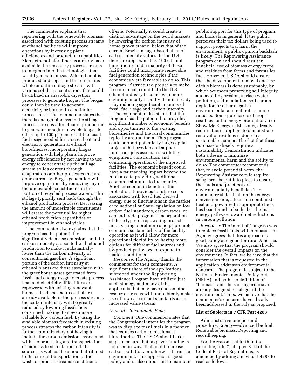The commenter explains that repowering with the renewable biomass associated with existing process streams at ethanol facilities will improve operations by increasing plant efficiencies and production capabilities. Many ethanol biorefineries already have available the necessary process streams to integrate into the technologies that would generate biogas. After ethanol is produced and separated there remains whole and thin stillage streams with various solids concentrations that could be utilized in anaerobic digestion processes to generate biogas. The biogas could then be used to generate electricity or burned in a boiler for process heat. The commenter states that there is enough biomass in the stillage process streams after ethanol production to generate enough renewable biogas to offset up to 100 percent of all the fossil fuel usage needed for process heat and electricity generation at ethanol biorefineries. Incorporating biogas generation will help plants improve energy efficiencies by not having to use energy to concentrate up the stillage stream solids content through evaporation or other processes that are done currently. Biogas generation will improve operations by removing any of the undesirable constituents in the portion of recycled process water or thin stillage typically sent back through the ethanol production process. Decreasing the amount of undesirable constituents will create the potential for higher ethanol production capabilities or improvement in ethanol yields.

The commenter also explains that the program has the potential to significantly decrease emissions and the carbon intensity associated with ethanol production to make it substantially lower than the carbon intensity of conventional gasoline. A significant portion of the carbon intensity at ethanol plants are those associated with the greenhouse gases generated from fossil fuel energy usage to create process heat and electricity. If facilities are repowered with existing renewable biomass feedstock sources that are already available in the process streams, the carbon intensity will be greatly reduced by lowering fossil fuels consumed making it an even more valuable low carbon fuel. By using the available biomass feedstock in existing process streams the carbon intensity is further minimized by not having to include the carbon emissions associated with the processing and transportation of biomass feedstock from offsite sources as well as the amount attributed to the current transportation of the waste or process streams constituents

off-site. Potentially it could create a distinct advantage on the world markets by lowering the carbon intensity of home grown ethanol below that of the current Brazilian sugar based ethanol carbon intensity values. In the U.S. there are approximately 190 ethanol biorefineries and a majority of these facilities could incorporate renewable fuel generation technologies if the economics were favorable to do so. This program, if structured properly to make it economical, could help the U.S. ethanol industry become even more environmentally friendly than it already is by reducing significant amounts of fossil fuel usage and carbon intensity.

The commenter also states that the program has the potential to provide a significant number of economic benefits and opportunities to the existing biorefineries and the rural communities typically around them. This program could support potentially large capital projects that provide and support numerous jobs associated with the equipment, construction, and continuing operation of the improved facilities. The economic benefit could have a far reaching impact beyond the rural area to providing additional economic stimulus to the country. Another economic benefit is the protection it provides to future costs associated with fossil fuel derived energy due to fluctuations in the market or to national or State legislation on low carbon fuel standards, carbon taxes, or cap and trade programs. Incorporation of these types of repowering projects into existing biorefineries helps promote economic sustainability of the facility operation as it will allow for more operational flexibility by having more options for different fuel sources and by-product pathways to respond to market conditions.

*Response:* The Agency thanks the commenter for their comments. A significant share of the applications submitted under the Repowering Assistance Program have utilized just such strategy and many of the applicants that may have chosen other resource streams will undoubtedly make use of low carbon fuel standards as an increased value stream.

#### *General—Sustainable Fuels*

*Comment:* One commenter states that the Congressional intent for the program was to displace fossil fuels in a manner that reduces carbon emissions at biorefineries. The USDA should take steps to ensure that taxpayer funding is not used in ways that could increase carbon pollution, or otherwise harm the environment. This approach is good policy and is also important to maintain

public support for this type of program, and biofuels in general. If the public perceives their tax dollars being used to support projects that harm the environment, a public opinion backlash is likely. The Repowering Assistance program can and should result in beneficial use of biomass energy crops and residues from farms and forests for fuel. However, USDA should ensure that the development, removal and use of this biomass is done sustainably, by which we mean preserving soil integrity and avoiding erosion, surface water pollution, sedimentation, soil carbon depletion or other negative environmental and natural resource impacts. Some purchasers of crops residues for bioenergy production, like Show Me Energy in Missouri, already require their suppliers to demonstrate removal of residues is done in a sustainable manner. The fact that these purchasers already require a sustainability demonstration indicates both a desire to minimize environmental harm and the ability to do so. The commenter recommends that, to avoid potential harm, the Repowering Assistance rule require safeguards be put into place to ensure that fuels and practices are environmentally beneficial. The commenter states that, on the energy conversion side, a focus on combined heat and power with appropriate fuels has been found to be the best biomass energy pathway toward net reductions in carbon pollution.

*Response:* The intent of Congress was to replace fossil fuels with biomass. The Agency agrees that this approach is good policy and good for rural America. We also agree that the program should consider the overall impacts on the environment. In fact, we believe that the information that is requested in the application addresses environmental concerns. The program is subject to the National Environmental Policy Act (NEPA) and both the definition of ''biomass'' and the scoring criteria are already designed to safeguard the environment. Thus, we believe that the commenter's concerns have already been addressed in the rule as proposed.

#### **List of Subjects in 7 CFR Part 4288**

Administrative practice and procedure, Energy—advanced biofuel, Renewable biomass, Reporting and recordkeeping.

For the reasons set forth in the preamble, title 7, chapter XLII of the Code of Federal Regulations, is amended by adding a new part 4288 to read as follows: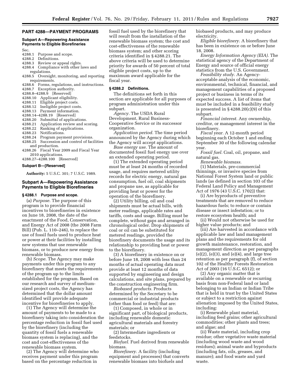#### **PART 4288—PAYMENT PROGRAMS**

#### **Subpart A—Repowering Assistance Payments to Eligible Biorefineries**

- Sec.<br>4288.1 4288.1 Purpose and scope.<br>4288.2 Definitions.
- Definitions.
- 4288.3 Review or appeal rights.<br>4288.4 Compliance with other la
- Compliance with other laws and regulations.
- 4288.5 Oversight, monitoring, and reporting requirements.
- 4288.6 Forms, regulations, and instructions.
- 4288.7 Exception authority.
- 4288.8–4288.9 [Reserved]
- 4288.10 Applicant eligibility. 4288.11 Eligible project costs.
- 4288.12 Ineligible project costs.
- 
- 4288.13 Payment information.
- 4288.14–4288.19 [Reserved]
- 4288.20 Submittal of applications.<br>4288.21 Application review and sc
- 4288.21 Application review and scoring.<br>4288.22 Ranking of applications. Ranking of applications.
- 
- 4288.23 Notifications.
- 4288.24 Program payment provisions. 4288.25 Succession and control of facilities and production.
- 4288.26 Fiscal Year 2009 and Fiscal Year 2010 applications.
- 4288.27–4288.100 [Reserved]

#### **Subpart B—[Reserved]**

**Authority:** 5 U.S.C. 301; 7 U.S.C. 1989.

#### **Subpart A—Repowering Assistance Payments to Eligible Biorefineries**

#### **§ 4288.1 Purpose and scope.**

(a) *Purpose.* The purpose of this program is to provide financial incentives to biorefineries in existence on June 18, 2008, the date of the enactment of the Food, Conservation, and Energy Act of 2008 (the 2008 Farm Bill) (Pub. L. 110–246), to replace the use of fossil fuels used to produce heat or power at their facilities by installing new systems that use renewable biomass, or to produce new energy from renewable biomass.

(b) *Scope.* The Agency may make payments under this program to any biorefinery that meets the requirements of the program up to the limits established for the program. Based on our research and survey of mediumsized project costs, the Agency has determined that the dollar amount identified will provide adequate incentive for biorefineries to apply.

(1) The Agency will determine the amount of payments to be made to a biorefinery taking into consideration the percentage reduction in fossil fuel used by the biorefinery (including the quantity of fossil fuels a renewable biomass system is replacing), and the cost and cost-effectiveness of the renewable biomass system.

(2) The Agency will determine who receives payment under this program based on the percentage reduction in

fossil fuel used by the biorefinery that will result from the installation of the renewable biomass system; the cost and cost-effectiveness of the renewable biomass system; and other scoring criteria identified in § 4288.21. The above criteria will be used to determine priority for awards of 50 percent of total eligible project costs, up to the maximum award applicable for the fiscal year.

#### **§ 4288.2 Definitions.**

The definitions set forth in this section are applicable for all purposes of program administration under this subpart.

*Agency.* The USDA Rural Development, Rural Business-Cooperative Service or its successor organization.

*Application period.* The time period announced by the Agency during which the Agency will accept applications.

*Base energy use.* The amount of documented fossil fuel energy use over an extended operating period.

(1) The extended operating period must be at least 24 months of recorded usage, and requires metered utility records for electric energy, natural gas consumption, fuel oil, coal shipments and propane use, as applicable for providing heat or power for the operation of the biorefinery.

(2) Utility billing, oil and coal shipments must be actual bills, with meter readings, applicable rates and tariffs, costs and usage. Billing must be complete, without gaps and arranged in chronological order. Drop shipments of coal or oil can be substituted for metered readings, provided the biorefinery documents the usage and its relationship to providing heat or power to the biorefinery.

(3) A biorefinery in existence on or before June 18, 2008 with less than 24 months of actual operating data must provide at least 12 months of data supported by engineering and design calculations, and site plans, prepared by the construction engineering firm.

*Biobased products.* Products determined by the Secretary to be commercial or industrial products (other than food or feed) that are:

(1) Composed, in whole or in significant part, of biological products, including renewable domestic agricultural materials and forestry materials; or

(2) Intermediate ingredients or feedstocks.

*Biofuel.* Fuel derived from renewable biomass.

*Biorefinery.* A facility (including equipment and processes) that converts renewable biomass into biofuels and

biobased products, and may produce electricity.

*Eligible biorefinery.* A biorefinery that has been in existence on or before June 18, 2008.

*Energy Information Agency (EIA).* The statistical agency of the Department of Energy and source of official energy statistics from the U.S. Government.

*Feasibility study.* An Agencyacceptable analysis of the economic, environmental, technical, financial, and management capabilities of a proposed project or business in terms of its expected success. A list of items that must be included in a feasibility study is presented in  $\S 4288.20(c)(9)$  of this subpart.

*Financial interest.* Any ownership, creditor, or management interest in the biorefinery.

*Fiscal year.* A 12-month period beginning each October 1 and ending September 30 of the following calendar year.

*Fossil fuel.* Coal, oil, propane, and natural gas.

*Renewable biomass.* 

(1) Materials, pre-commercial thinnings, or invasive species from National Forest System land or public lands (as defined in section 103 of the Federal Land Policy and Management Act of 1976 (43 U.S.C. 1702)) that:

(i) Are byproducts of preventive treatments that are removed to reduce hazardous fuels; to reduce or contain disease or insect infestation; or to restore ecosystem health; and

(ii) Would not otherwise be used for higher value products; and

(iii) Are harvested in accordance with applicable law and land management plans and the requirements for old growth maintenance, restoration, and management direction as per paragraphs  $(e)(2)$ ,  $(e)(3)$ , and  $(e)(4)$ , and large tree retention as per paragraph (f), of section 102 of the Healthy Forests Restoration Act of 2003 (16 U.S.C. 6512); or

(2) Any organic matter that is available on a renewable or recurring basis from non-Federal land or land belonging to an Indian or Indian Tribe that is held in trust by the United States or subject to a restriction against alienation imposed by the United States, including:

(i) Renewable plant material, including feed grains; other agricultural commodities; other plants and trees; and algae; and

(ii) Waste material, including crop residue; other vegetative waste material (including wood waste and wood residues); animal waste and byproducts (including fats, oils, greases, and manure); and food waste and yard waste.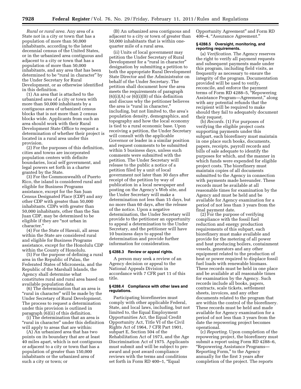*Rural or rural area.* Any area of a State not in a city or town that has a population of more than 50,000 inhabitants, according to the latest decennial census of the United States, or in the urbanized area contiguous and adjacent to a city or town that has a population of more than 50,000 inhabitants, and any area that has been determined to be "rural in character" by the Under Secretary for Rural Development, or as otherwise identified in this definition.

(1) An area that is attached to the urbanized area of a city or town with more than 50,000 inhabitants by a contiguous area of urbanized census blocks that is not more than 2 census blocks wide. Applicants from such an area should work with their Rural Development State Office to request a determination of whether their project is located in a rural area under this provision.

(2) For the purposes of this definition, cities and towns are incorporated population centers with definite boundaries, local self government, and legal powers set forth in a charter granted by the State.

(3) For the Commonwealth of Puerto Rico, the island is considered rural and eligible for Business Programs assistance, except for the San Juan Census Designated Place (CDP) and any other CDP with greater than 50,000 inhabitants. CDPs with greater than 50,000 inhabitants, other than the San Juan CDP, may be determined to be eligible if they are ''not urban in character.''

(4) For the State of Hawaii, all areas within the State are considered rural and eligible for Business Programs assistance, except for the Honolulu CDP within the County of Honolulu.

(5) For the purpose of defining a rural area in the Republic of Palau, the Federated States of Micronesia, and the Republic of the Marshall Islands, the Agency shall determine what constitutes rural and rural area based on available population data.

(6) The determination that an area is ''rural in character'' will be made by the Under Secretary of Rural Development. The process to request a determination under this provision is outlined in paragraph (6)(ii) of this definition.

(i) The determination that an area is ''rural in character'' under this definition will apply to areas that are within:

(A) An urbanized area that has two points on its boundary that are at least 40 miles apart, which is not contiguous or adjacent to a city or town that has a population of greater than 150,000 inhabitants or the urbanized area of such a city or town; or

(B) An urbanized area contiguous and adjacent to a city or town of greater than 50,000 inhabitants that is within onequarter mile of a rural area.

(ii) Units of local government may petition the Under Secretary of Rural Development for a "rural in character" designation by submitting a petition to both the appropriate Rural Development State Director and the Administrator on behalf of the Under Secretary. The petition shall document how the area meets the requirements of paragraph  $(6)(i)(A)$  or  $(6)(i)(B)$  of this definition and discuss why the petitioner believes the area is "rural in character," including, but not limited to, the area's population density, demographics, and topography and how the local economy is tied to a rural economic base. Upon receiving a petition, the Under Secretary will consult with the applicable Governor or leader in a similar position and request comments to be submitted within 5 business days, unless such comments were submitted with the petition. The Under Secretary will release to the public a notice of a petition filed by a unit of local government not later than 30 days after receipt of the petition by way of publication in a local newspaper and posting on the Agency's Web site, and the Under Secretary will make a determination not less than 15 days, but no more than 60 days, after the release of the notice. Upon a negative determination, the Under Secretary will provide to the petitioner an opportunity to appeal a determination to the Under Secretary, and the petitioner will have 10 business days to appeal the determination and provide further information for consideration.

#### **§ 4288.3 Review or appeal rights.**

A person may seek a review of an Agency decision or appeal to the National Appeals Division in accordance with 7 CFR part 11 of this title.

#### **§ 4288.4 Compliance with other laws and regulations.**

Participating biorefineries must comply with other applicable Federal, State, and local laws, including, but not limited to, the Equal Employment Opportunities Act, the Equal Credit Opportunity Act, Title VI of the Civil Rights Act of 1964, 7 CFR Part 1901, subpart E, Section 504 of the Rehabilitation Act of 1973, and the Age Discrimination Act of 1975. Applicants must submit and will be subject to preaward and post award compliance reviews with the terms and conditions set forth in Form RD 400-1, "Equal

Opportunity Agreement'' and Form RD 400–4, ''Assurance Agreement.''

#### **§ 4288.5 Oversight, monitoring, and reporting requirements.**

(a) *Verification.* The Agency reserves the right to verify all payment requests and subsequent payments made under this program, including field visits, as frequently as necessary to ensure the integrity of the program. Documentation provided will be used to verify, reconcile, and enforce the payment terms of Form RD 4288–5, ''Repowering Assistance Program—Agreement,'' along with any potential refunds that the recipient will be required to make should they fail to adequately document their request.

(b) *Records.* (1) For purposes of verifying the eligible project costs supporting payments under this subpart, each biorefinery must maintain in one place such books, documents, papers, receipts, payroll records and bills of sale adequate to identify the purposes for which, and the manner in which funds were expended for eligible project costs. The biorefinery must maintain copies of all documents submitted to the Agency in connection with payments made hereunder. These records must be available at all reasonable times for examination by the Agency and must be held and be available for Agency examination for a period of not less than 3 years from the final payment date.

(2) For the purpose of verifying compliance with the fossil fuel reduction and energy production requirements of this subpart, each biorefinery must make available and provide for the metering of all power and heat producing boilers, containment vessels, generators and any other equipment related to the production of heat or power required to displace fossil fuel loads with renewable biomass. These records must be held in one place and be available at all reasonable times for examination by the Agency. Such records include all books, papers, contracts, scale tickets, settlement sheets, invoices, and any other documents related to the program that are within the control of the biorefinery. These records must be held and made available for Agency examination for a period of not less than 3 years from the date the repowering project becomes operational.

(c) *Reporting.* Upon completion of the repowering project, the biorefinery must submit a report using Form RD 4288–6, ''Repowering Assistance Programs— Reporting Form,'' to the Agency annually for the first 3 years after completion of the project. The reports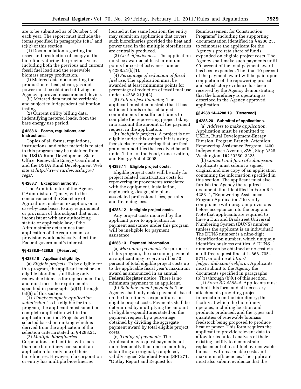are to be submitted as of October 1 of each year. The report must include the items specified in paragraphs (c)(1) and (c)(2) of this section.

(1) Documentation regarding the usage and production of energy at the biorefinery during the previous year, including both the previous and current fossil fuel load and the renewable biomass energy production.

(i) Metered data documenting the production of heat, steam, gas and power must be obtained utilizing an Agency approved measurement device.

(ii) Metered data must be verifiable and subject to independent calibration testing.

(2) Current utility billing data, indentifying metered loads, from the base energy use period.

#### **§ 4288.6 Forms, regulations, and instructions.**

Copies of all forms, regulations, instructions, and other materials related to this program may be obtained from the USDA Rural Development State Office, Renewable Energy Coordinator and the USDA Rural Development Web site at *[http://www.rurdev.usda.gov/](http://www.rurdev.usda.gov/regs/) [regs/.](http://www.rurdev.usda.gov/regs/)* 

#### **§ 4288.7 Exception authority.**

The Administrator of the Agency (''Administrator'') may, with the concurrence of the Secretary of Agriculture, make an exception, on a case-by-case basis, to any requirement or provision of this subpart that is not inconsistent with any authorizing statute or applicable law, if the Administrator determines that application of the requirement or provision would adversely affect the Federal government's interest.

#### **§§ 4288.8–4288.9 [Reserved]**

#### **§ 4288.10 Applicant eligibility.**

(a) *Eligible projects.* To be eligible for this program, the applicant must be an eligible biorefinery utilizing only renewable biomass for replacement fuel, and must meet the requirements specified in paragraphs (a)(1) through (a)(5) of this section.

(1) *Timely complete application submission.* To be eligible for this program, the applicant must submit a complete application within the application period. Projects will be selected based on ranking which is derived from the application of the selection criteria stated in § 4288.21.

(2) *Multiple biorefineries.*  Corporations and entities with more than one biorefinery can submit an application for only one of their biorefineries. However, if a corporation or entity has multiple biorefineries

located at the same location, the entity may submit an application that covers such biorefineries provided the heat and power used in the multiple biorefineries are centrally produced.

(3) *Cost-effectiveness.* The application must be awarded at least minimum points for cost-effectiveness under § 4288.21(b)(1).

(4) *Percentage of reduction of fossil fuel use.* The application must be awarded at least minimum points for percentage of reduction of fossil fuel use under § 4288.21(b)(2).

(5) *Full project financing.* The applicant must demonstrate that it has sufficient funds or has obtained commitments for sufficient funds to complete the repowering project taking into account the amount of the payment request in the application.

(b) *Ineligible projects.* A project is not eligible under this subpart if it is using feedstocks for repowering that are feed grain commodities that received benefits under Title I of the Food, Conservation, and Energy Act of 2008.

#### **§ 4288.11 Eligible project costs.**

Eligible project costs will be only for project related construction costs for repowering improvements associated with the equipment, installation, engineering, design, site plans, associated professional fees, permits and financing fees.

#### **§ 4288.12 Ineligible project costs.**

Any project costs incurred by the applicant prior to application for payment assistance under this program will be ineligible for payment assistance.

#### **§ 4288.13 Payment information.**

(a) *Maximum payment.* For purposes of this program, the maximum payment an applicant may receive will be 50 percent of total eligible project costs up to the applicable fiscal year's maximum award as announced in an annual **Federal Register** notice. There is no minimum payment to an applicant.

(b) *Reimbursement payments.* The Agency shall only make payments based on the biorefinery's expenditures on eligible project costs. Payments shall be determined by multiplying the amount of eligible expenditures stated on the payment request by a percentage obtained by dividing the aggregate payment award by total eligible project costs.

(c) *Timing of payments.* The Applicant may request payments not more frequently than once a month by submitting an original, completed, validly signed Standard Form (SF) 271, ''Outlay Report and Request for

Reimbursement for Construction Programs'' including the supporting documentation identified in § 4288.23, to reimburse the applicant for the Agency's pro rata share of funds expended on eligible project costs. The Agency shall make such payments until 90 percent of the total payment award has been expended. The final 10 percent of the payment award will be paid upon completion of the repowering project and satisfactory evidence has been received by the Agency demonstrating that the biorefinery is operating as described in the Agency approved application.

#### **§§ 4288.14–4288.19 [Reserved]**

#### **§ 4288.20 Submittal of applications.**

(a) *Address to make application.*  Application must be submitted to USDA, Rural Development-Energy Division, Program Branch, Attention: Repowering Assistance Program, 1400 Independence Avenue, SW., Stop 3225, Washington, DC 20250–3225.

(b) *Content and form of submission.*  Applicants must submit a signed original and one copy of an application containing the information specified in this section. The applicant must also furnish the Agency the required documentation identified in Form RD 4288–4, ''Repowering Assistance Program Application," to verify compliance with program provisions before acceptance into the program. Note that applicants are required to have a Dun and Bradstreet Universal Numbering System (DUNS) number (unless the applicant is an individual). The DUNS number is a nine-digit identification number, which uniquely identifies business entities. A DUNS number can be obtained at no cost via a toll-free request line at 1–866–705– 5711, or online at *[http://](http://fedgov.dnb.com/webform) [fedgov.dnb.com/webform.](http://fedgov.dnb.com/webform)* Applicants must submit to the Agency the documents specified in paragraphs (b)(1) through (b)(6) of this section.

(1) *Form RD 4288–4.* Applicants must submit this form and all necessary attachments providing project information on the biorefinery; the facility at which the biorefinery operates, including location and products produced; and the types and quantities of renewable biomass feedstock being proposed to produce heat or power. This form requires the applicant to provide relevant data to allow for technical analysis of their existing facility to demonstrate replacement of fossil fuel by renewable biomass with reasonable costs and maximum efficiencies. The applicant must also submit evidence that the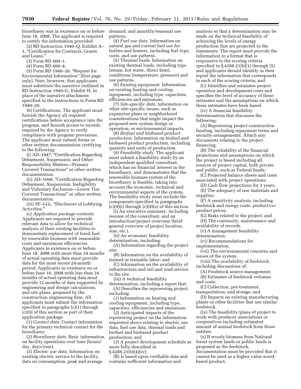biorefinery was in existence on or before June 18, 2008. The applicant is required to certify the information provided.

(2) RD Instruction 1940–Q, Exhibit A– 1, ''Certification for Contracts, Grants and Loans.''

(3) Form RD 400–1.

(4) Form RD 400–4.

(5) Form RD 1940–20, ''Request for Environmental Information'' (first page only). Note, however, that applicants must substitute the narrative outlined in RD Instruction 1940–G, Exhibit H, in place of the narrative attachment specified in the instructions to Form RD 1940–20.

(6) Certifications. The applicant must furnish the Agency all required certifications before acceptance into the program, and furnish access to records required by the Agency to verify compliance with program provisions. The applicant must submit forms or other written documentation certifying to the following:

(i) AD–1047, ''Certification Regarding Debarment, Suspension, and Other Responsibility Matters—Primary Covered Transactions'' or other written documentation.

(ii) AD–1048, ''Certification Regarding Debarment, Suspension, Ineligibility and Voluntary Exclusion—Lower Tier Covered Transactions'' or other written documentation.

(iii) SF–LLL, ''Disclosure of Lobbying Activities.''

(c) *Application package contents.*  Applicants are required to provide relevant data to allow for technical analysis of their existing facilities to demonstrate replacement of fossil fuel by renewable biomass with reasonable costs and maximum efficiencies. Applicants in existence on or before June 18, 2008 with more than 24 months of actual operating data must provide data for the most recent 24-month period. Applicants in existence on or before June 18, 2008 with less than 24 months of actual operating data must provide 12 months of data supported by engineering and design calculations, and site plans, prepared by the construction engineering firm. All applicants must submit the information specified in paragraphs (c)(1) through (c)(9) of this section as part of their application package.

(1) *Contact data.* Contact information for the primary technical contact for the biorefinery.

(2) *Biorefinery data.* Basic information on facility operations over time (hours/ day, days/year).

(3) *Electric use data.* Information on existing electric service to the facility, data on consumption, peak and average demand, and monthly/seasonal use patterns.

(4) *Fuel use data.* Information on natural gas and current fuel use for boilers and heaters, including fuel type, costs, and use patterns.

(5) *Thermal loads.* Information on existing thermal loads, including type (steam, hot water, direct heat), conditions (temperature, pressure) and use patterns.

(6) *Existing equipment.* Information on existing heating and cooling equipment, including type, capacities, efficiencies and emissions.

(7) *Site-specific data.* Information on other site-specific issues, such as expansion plans or neighborhood considerations that might impact the proposed new system design or operation; or environmental impacts.

(8) *Biofuel and biobased product production.* Information on biofuel and biobased product production, including quantity and units of production.

(9) *Feasibility study.* The applicant must submit a feasibility study by an independent qualified consultant, which has no financial interest in the biorefinery, and demonstrates that the renewable biomass system of the biorefinery is feasible, taking into account the economic, technical and environmental aspects of the system. The feasibility study must include the components specified in paragraphs  $(c)(9)(i)$  through  $(c)(9)(x)$  of this section.

(i) An executive summary, including resume of the consultant, and an introduction/project overview (brief general overview of project location, size, *etc.*).

(ii) An economic feasibility determination, including:

(A) Information regarding the project site;

(B) Information on the availability of trained or trainable labor; and

(C) Information on the availability of infrastructure and rail and road service to the site.

(iii) A technical feasibility

determination, including a report that: (A) Describes the repowering project, including:

(*1*) Information on heating and cooling equipment, including type, capacities, efficiencies and emissions;

(*2*) Anticipated impacts of the repowering project on the information requested above relating to electric use data, fuel use data, thermal loads and biofuel and biobased product production; and

(*3*) A project development schedule as more fully described in

§ 4288.21(b)(4)(iv);

(B) Is based upon verifiable data and contains sufficient information and

analysis so that a determination may be made on the technical feasibility of achieving the levels of energy production that are projected in the statements. The report must provide the information in a format that is responsive to the scoring criteria specified in § 4288.21(b)(1) through (5) and applicants should identify in their report the information that corresponds to each of the scoring criteria; and

(C) Identifies and estimates project operation and development costs and specifies the level of accuracy of these estimates and the assumptions on which these estimates have been based.

(iv) A financial feasibility determination that discusses the following:

(A) Repowering project construction funding, including repayment terms and security arrangements. Attach any documents relating to the project financing;

(B) The reliability of the financial projections and assumptions on which the project is based including all sources of project capital, both private and public, such as Federal funds;

(C) Projected balance sheets and costs associated with project operations;

(D) Cash flow projections for 3 years; (E) The adequacy of raw materials and

supplies;

(F) A sensitivity analysis, including feedstock and energy costs, product/coproduct prices;

(G) Risks related to the project; and

(H) The continuity, maintenance and availability of records.

(v) A management feasibility determination.

(vi) Recommendations for

implementation.

(vii) The environmental concerns and issues of the system.

(viii) The availability of feedstock, including discussions of:

(A) Feedstock source management; (B) Estimates of feedstock volumes

and costs;

(C) Collection, pre-treatment, transportation, and storage; and

(D) Impacts on existing manufacturing plants or other facilities that use similar feedstock.

(ix) The feasibility/plans of project to work with producer associations or cooperatives including estimated amount of annual feedstock from those entities.

(x) If woody biomass from National forest system lands or public lands is proposed as the feedstock, documentation must be provided that it cannot be used as a higher value woodbased product.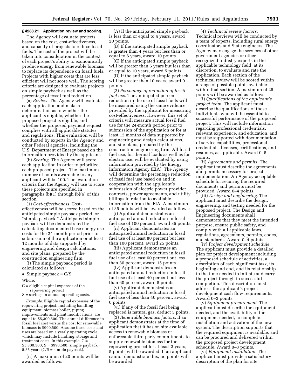#### **§ 4288.21 Application review and scoring.**

The Agency will evaluate projects based on the cost, cost-effectiveness, and capacity of projects to reduce fossil fuels. The cost of the project will be taken into consideration in the context of each project's ability to economically produce energy from renewable biomass to replace its dependence on fossil fuels. Projects with higher costs that are less efficient will not score well. The scoring criteria are designed to evaluate projects on simple payback as well as the percentage of fossil fuel reduction.

(a) *Review.* The Agency will evaluate each application and make a determination as to whether the applicant is eligible, whether the proposed project is eligible, and whether the proposed payment request complies with all applicable statutes and regulations. This evaluation will be conducted by experts in the Agency and other Federal agencies, including the U.S. Department of Energy based on the information provided by the applicant.

(b) *Scoring.* The Agency will score each application in order to prioritize each proposed project. The maximum number of points awardable to any applicant will be 100. The evaluation criteria that the Agency will use to score these projects are specified in paragraphs (b)(1) through (b)(6) of this section.

(1) *Cost-effectiveness.* Costeffectiveness will be scored based on the anticipated simple payback period, or ''simple payback.'' Anticipated simple payback will be demonstrated by calculating documented base energy use costs for the 24-month period prior to submission of the application or at least 12 months of data supported by engineering and design calculations, and site plans, prepared by the construction engineering firm.

(i) The simple payback period is calculated as follows:

- Simple payback =  $C/S$
- Where:
- C = eligible capital expenses of the repowering project

S = savings in annual operating costs.

*Example:* Eligible capital expenses of the repowering project, including handling equipment, biomass boiler, piping improvements and plant modifications, are equal to \$5,300,500. The annual difference in fossil fuel cost versus the cost for renewable biomass is \$990,500. Assume these costs and uses are based on a yearly operating cycle, which may include handling, storage and treatment costs. In this example,  $C =$  $$5,300,500; S = $990,500; simple payback =$ 5.35 years  $(C/S = simple$  payback).

(ii) A maximum of 20 points will be awarded as follows:

(A) If the anticipated simple payback is less than or equal to 4 years, award 20 points.

(B) If the anticipated simple payback is greater than 4 years but less than or equal to 6 years, award 10 points.

(C) If the anticipated simple payback will be greater than 6 years but less than or equal to 10 years, award 5 points.

(D) If the anticipated simple payback will be greater than 10 years, award 0 points.

(2) *Percentage of reduction of fossil fuel use.* The anticipated percent reduction in the use of fossil fuels will be measured using the same evidence provided by the applicant for measuring cost-effectiveness. However, this set of criteria will measure actual fossil fuel use for the 24-month period prior to submission of the application or for at least 12 months of data supported by engineering and design calculations, and site plans, prepared by the construction engineering firm. All fossil fuel use, for thermal loads as well as for electric use, will be evaluated by using information provided by the Energy Information Agency (EIA). The Agency will determine the percentage reduction of fossil fuel use based on and in cooperation with the applicant's submission of electric power provider contracts, power agreements, and utility billings in relation to available information from the EIA. A maximum of 35 points will be awarded as follows:

(i) Applicant demonstrates an anticipated annual reduction in fossil fuel use of 100 percent, award 35 points.

(ii) Applicant demonstrates an anticipated annual reduction in fossil fuel use of at least 80 percent but less than 100 percent, award 25 points.

(iii) Applicant demonstrates an anticipated annual reduction in fossil fuel use of at least 60 percent but less than 80 percent, award 15 points.

(iv) Applicant demonstrates an anticipated annual reduction in fossil fuel use of at least 40 percent but less than 60 percent, award 5 points.

(v) Applicant demonstrates an anticipated annual reduction in fossil fuel use of less than 40 percent, award 0 points.

(vi) If any of the fossil fuel being replaced is natural gas, deduct 5 points.

(3) *Renewable biomass factors.* If an applicant demonstrates at the time of application that it has on site available access to renewable biomass or enforceable third party commitments to supply renewable biomass for the repowering project for at least 3 years, 5 points will be awarded. If an applicant cannot demonstrate this, no points will be awarded.

(4) *Technical review factors.*  Technical reviews will be conducted by a team of experts, including rural energy coordinators and State engineers. The Agency may engage the services of other government agencies or other recognized industry experts in the applicable technology field, at its discretion, to evaluate and rate the application. Each section of the technical review will be scored within a range of possible points available within that section. A maximum of 25 points will be awarded as follows:

(i) *Qualifications of the applicant's project team.* The applicant must describe the qualifications of those individuals who will be essential to successful performance of the proposed project. This will include information regarding professional credentials, relevant experience, and education, and must be supported with documentation of service capabilities, professional credentials, licenses, certifications, and resumes, as applicable. Award 0–5 points.

(ii) *Agreements and permits.* The applicant must describe the agreements and permits necessary for project implementation. An Agency-acceptable schedule for securing the required documents and permits must be provided. Award 0–4 points.

(iii) *Design and engineering.* The applicant must describe the design, engineering, and testing needed for the proposed project. The Design and Engineering documents shall demonstrate that they meet the intended purpose, ensure public safety, and comply with all applicable laws, regulations, agreements, permits, codes, and standards. Award 0–4 points.

(iv) *Project development schedule.*  The applicant must provide a detailed plan for project development including a proposed schedule of activities, a description of each significant task, its beginning and end, and its relationship to the time needed to initiate and carry the project through to successful completion. This description must address the applicant's project development cash flow requirements. Award 0–3 points.

(v) *Equipment procurement.* The applicant must describe the equipment needed, and the availability of the equipment needed, to complete installation and activation of the new system. The description supports that the required equipment is available, and can be procured and delivered within the proposed project development schedule. Award 0–3 points.

(vi) *Equipment installation.* The applicant must provide a satisfactory description of the plan for site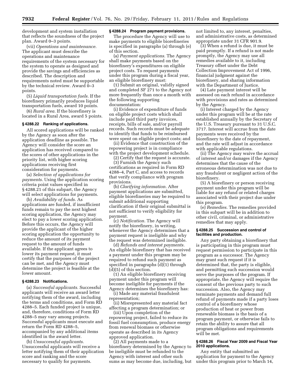development and system installation that reflects the soundness of the project plan. Award 0–3 points.

(vii) *Operations and maintenance.*  The applicant must describe the operations and maintenance requirements of the system necessary for the system to operate as designed and provide the savings and efficiencies as described. The description and requirements noted must be supportable by the technical review. Award 0–3 points.

(5) *Liquid transportation fuels.* If the biorefinery primarily produces liquid transportation fuels, award 10 points.

(6) *Rural area.* If the biorefinery is located in a Rural Area, award 5 points.

#### **§ 4288.22 Ranking of applications.**

All scored applications will be ranked by the Agency as soon after the application deadline as possible. The Agency will consider the score an application has received compared to the scores of other applications in the priority list, with higher scoring applications receiving first consideration for payments.

(a) *Selection of applications for payments.* Using the application scoring criteria point values specified in § 4288.21 of this subpart, the Agency will select applications for payments.

(b) *Availability of funds.* As applications are funded, if insufficient funds remain to pay the next highest scoring application, the Agency may elect to pay a lower scoring application. Before this occurs, the Agency will provide the applicant of the higher scoring application the opportunity to reduce the amount of its payment request to the amount of funds available. If the applicant agrees to lower its payment request, it must certify that the purposes of the project can be met, and the Agency must determine the project is feasible at the lower amount.

#### **§ 4288.23 Notifications.**

(a) *Successful applicants.* Successful applicants will receive an award letter notifying them of the award, including the terms and conditions, and Form RD 4288–5. Each funded project is unique, and, therefore, conditions of Form RD 4288–5 may vary among projects. Successful applicants must execute and return the Form RD 4288–5, accompanied by any additional items identified in the award letter.

(b) *Unsuccessful applicants.*  Unsuccessful applicants will receive a letter notifying them of their application score and ranking and the score necessary to qualify for payments.

#### **§ 4288.24 Program payment provisions.**

The procedure the Agency will use to make payments to eligible biorefineries is specified in paragraphs (a) through (e) of this section.

(a) *Payment applications.* The Agency shall make payments based on the biorefinery's expenditures on eligible project costs. To request payments under this program during a fiscal year, an eligible biorefinery must:

(1) Submit an original, validly signed and completed SF 271 to the Agency not more frequently than once a month with the following supporting documentation:

(i) Evidence of expenditure of funds on eligible project costs which shall include paid third party invoices, receipts, bills of sale, and/or payroll records. Such records must be adequate to identify that funds to be reimbursed were spent on eligible project costs; and

(ii) Evidence that construction of the repowering project is in compliance with the project development schedule.

(2) Certify that the request is accurate. (3) Furnish the Agency such

certifications as required in Form RD 4288–4, Part C, and access to records that verify compliance with program provisions.

(b) *Clarifying information.* After payment applications are submitted, eligible biorefineries may be required to submit additional supporting clarification if their original submittal is not sufficient to verify eligibility for payment.

(c) *Notification.* The Agency will notify the biorefinery, in writing, whenever the Agency determines that a payment request is ineligible and why the request was determined ineligible.

(d) *Refunds and interest payments.*  An eligible biorefinery that has received a payment under this program may be required to refund such payment as specified in paragraphs (d)(1) through (d)(5) of this section.

(1) An eligible biorefinery receiving payment under this program will become ineligible for payments if the Agency determines the biorefinery has:

(i) Made any material fraudulent representation;

(ii) Misrepresented any material fact affecting a program determination; or

(iii) Upon completion of the repowering project, failed to reduce its fossil fuel consumption, produce energy from renewal biomass or otherwise operate as described in its Agency approved application.

(2) All payments made to a biorefinery determined by the Agency to be ineligible must be refunded to the Agency with interest and other such sums as may become due, including, but not limited to, any interest, penalties, and administrative costs, as determined appropriate under 31 CFR 901.9.

(3) When a refund is due, it must be paid promptly. If a refund is not made promptly, the Agency may use all remedies available to it, including Treasury offset under the Debt Collection Improvement Act of 1996, financial judgment against the biorefinery, and sharing information with the Department of Justice.

(4) Late payment interest will be assessed on each refund in accordance with provisions and rates as determined by the Agency.

(i) Interest charged by the Agency under this program will be at the rate established annually by the Secretary of the U.S. Treasury pursuant to 31 U.S.C. 3717. Interest will accrue from the date payments were received by the biorefinery to the date of repayment, and the rate will adjust in accordance with applicable regulations.

(ii) The Agency may waive the accrual of interest and/or damages if the Agency determines that the cause of the erroneous determination was not due to any fraudulent or negligent action of the biorefinery.

(5) A biorefinery or person receiving payment under this program will be liable for any refund or related charges associated with their project due under this program.

(e) *Remedies.* The remedies provided in this subpart will be in addition to other civil, criminal, or administrative remedies that may apply.

#### **§ 4288.25 Succession and control of facilities and production.**

Any party obtaining a biorefinery that is participating in this program must request permission to participate in this program as a successor. The Agency may grant such request if it is determined that, the party is eligible, and permitting such succession would serve the purposes of the program. If appropriate, the Agency will require the consent of the previous party to such succession. Also, the Agency may terminate payments and demand full refund of payments made if a party loses control of a biorefinery whose production of heat or power from renewable biomass is the basis of a program payment, or otherwise fails to retain the ability to assure that all program obligations and requirements will be met.

#### **§ 4288.26 Fiscal Year 2009 and Fiscal Year 2010 applications.**

Any entity that submitted an application for payment to the Agency under this program prior to March 14,